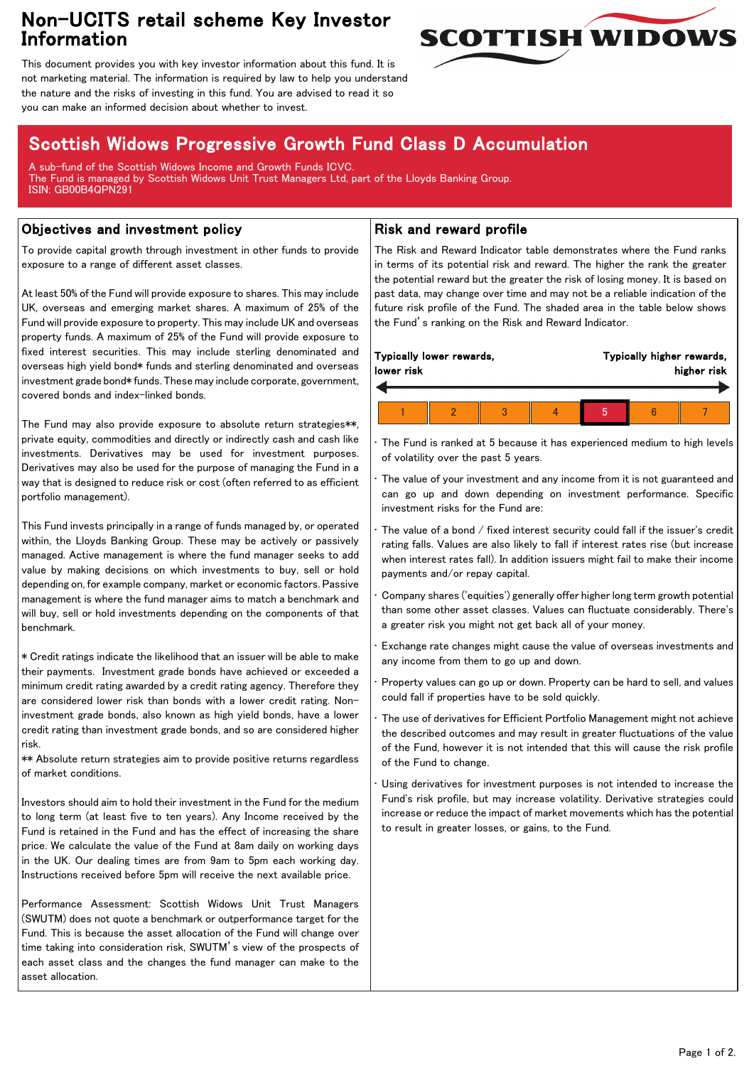## Non-UCITS retail scheme Key Investor Information



This document provides you with key investor information about this fund. It is not marketing material. The information is required by law to help you understand the nature and the risks of investing in this fund. You are advised to read it so you can make an informed decision about whether to invest.

# Scottish Widows Progressive Growth Fund Class D Accumulation

A sub-fund of the Scottish Widows Income and Growth Funds ICVC. The Fund is managed by Scottish Widows Unit Trust Managers Ltd, part of the Lloyds Banking Group. ISIN: GB00B4QPN291

### Objectives and investment policy

To provide capital growth through investment in other funds to provide exposure to a range of different asset classes.

At least 50% of the Fund will provide exposure to shares. This may include UK, overseas and emerging market shares. A maximum of 25% of the Fund will provide exposure to property. This may include UK and overseas property funds. A maximum of 25% of the Fund will provide exposure to fixed interest securities. This may include sterling denominated and overseas high yield bond\* funds and sterling denominated and overseas investment grade bond\* funds. These may include corporate, government, covered bonds and index-linked bonds.

The Fund may also provide exposure to absolute return strategies\*\*, private equity, commodities and directly or indirectly cash and cash like investments. Derivatives may be used for investment purposes. Derivatives may also be used for the purpose of managing the Fund in a way that is designed to reduce risk or cost (often referred to as efficient portfolio management).

This Fund invests principally in a range of funds managed by, or operated within, the Lloyds Banking Group. These may be actively or passively managed. Active management is where the fund manager seeks to add value by making decisions on which investments to buy, sell or hold depending on, for example company, market or economic factors. Passive management is where the fund manager aims to match a benchmark and will buy, sell or hold investments depending on the components of that benchmark.

\* Credit ratings indicate the likelihood that an issuer will be able to make their payments. Investment grade bonds have achieved or exceeded a minimum credit rating awarded by a credit rating agency. Therefore they are considered lower risk than bonds with a lower credit rating. Noninvestment grade bonds, also known as high yield bonds, have a lower credit rating than investment grade bonds, and so are considered higher risk.

\*\* Absolute return strategies aim to provide positive returns regardless of market conditions.

Investors should aim to hold their investment in the Fund for the medium to long term (at least five to ten years). Any Income received by the Fund is retained in the Fund and has the effect of increasing the share price. We calculate the value of the Fund at 8am daily on working days in the UK. Our dealing times are from 9am to 5pm each working day. Instructions received before 5pm will receive the next available price.

Performance Assessment: Scottish Widows Unit Trust Managers (SWUTM) does not quote a benchmark or outperformance target for the Fund. This is because the asset allocation of the Fund will change over time taking into consideration risk, SWUTM's view of the prospects of each asset class and the changes the fund manager can make to the asset allocation.

### Risk and reward profile

The Risk and Reward Indicator table demonstrates where the Fund ranks in terms of its potential risk and reward. The higher the rank the greater the potential reward but the greater the risk of losing money. It is based on past data, may change over time and may not be a reliable indication of the future risk profile of the Fund. The shaded area in the table below shows the Fund's ranking on the Risk and Reward Indicator.

| lower risk | Typically lower rewards, |  | Typically higher rewards, | higher risk |  |  |  |
|------------|--------------------------|--|---------------------------|-------------|--|--|--|
|            |                          |  |                           |             |  |  |  |
|            |                          |  |                           |             |  |  |  |

The Fund is ranked at 5 because it has experienced medium to high levels of volatility over the past 5 years.

The value of your investment and any income from it is not guaranteed and can go up and down depending on investment performance. Specific investment risks for the Fund are:

• The value of a bond / fixed interest security could fall if the issuer's credit rating falls. Values are also likely to fall if interest rates rise (but increase when interest rates fall). In addition issuers might fail to make their income payments and/or repay capital.

• Company shares ('equities') generally offer higher long term growth potential than some other asset classes. Values can fluctuate considerably. There's a greater risk you might not get back all of your money.

• Exchange rate changes might cause the value of overseas investments and any income from them to go up and down.

• Property values can go up or down. Property can be hard to sell, and values could fall if properties have to be sold quickly.

• The use of derivatives for Efficient Portfolio Management might not achieve the described outcomes and may result in greater fluctuations of the value of the Fund, however it is not intended that this will cause the risk profile of the Fund to change.

Using derivatives for investment purposes is not intended to increase the Fund's risk profile, but may increase volatility. Derivative strategies could increase or reduce the impact of market movements which has the potential to result in greater losses, or gains, to the Fund.